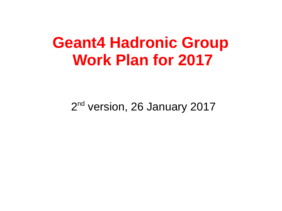## **Geant4 Hadronic Group Work Plan for 2017**

2<sup>nd</sup> version, 26 January 2017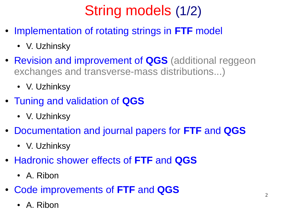# String models (1/2)

- Implementation of rotating strings in FTF model
	- V. Uzhinsky
- Revision and improvement of **QGS** (additional reggeon exchanges and transverse-mass distributions...)
	- V. Uzhinksy
- Tuning and validation of **QGS**
	- V. Uzhinksy
- Documentation and journal papers for **FTF** and **QGS**
	- V. Uzhinksy
- Hadronic shower effects of **FTF** and **QGS**
	- A. Ribon
- Code improvements of **FTF** and **QGS**
	- A. Ribon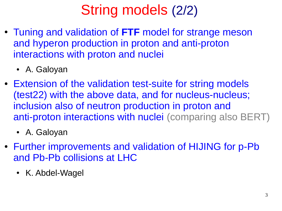## String models (2/2)

- Tuning and validation of **FTF** model for strange meson and hyperon production in proton and anti-proton interactions with proton and nuclei
	- A. Galoyan
- Extension of the validation test-suite for string models (test22) with the above data, and for nucleus-nucleus; inclusion also of neutron production in proton and anti-proton interactions with nuclei (comparing also BERT)
	- A. Galoyan
- Further improvements and validation of HIJING for p-Pb and Pb-Pb collisions at LHC
	- K. Abdel-Wagel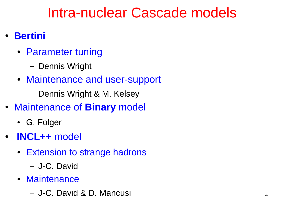#### Intra-nuclear Cascade models

- **Bertini**
	- Parameter tuning
		- Dennis Wright
	- Maintenance and user-support
		- Dennis Wright & M. Kelsey
- Maintenance of **Binary** model
	- G. Folger
- **INCL++** model
	- Extension to strange hadrons
		- J-C. David
	- Maintenance
		- J-C. David & D. Mancusi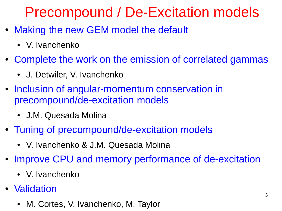## Precompound / De-Excitation models

- Making the new GEM model the default
	- V. Ivanchenko
- Complete the work on the emission of correlated gammas
	- J. Detwiler, V. Ivanchenko
- Inclusion of angular-momentum conservation in precompound/de-excitation models
	- J.M. Quesada Molina
- Tuning of precompound/de-excitation models
	- V. Ivanchenko & J.M. Quesada Molina
- Improve CPU and memory performance of de-excitation
	- V. Ivanchenko
- Validation
	- M. Cortes, V. Ivanchenko, M. Taylor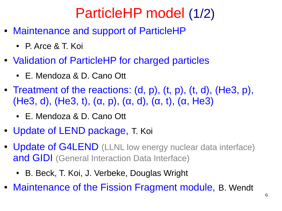## ParticleHP model (1/2)

- Maintenance and support of ParticleHP
	- P. Arce & T. Koi
- Validation of ParticleHP for charged particles
	- E. Mendoza & D. Cano Ott
- Treatment of the reactions:  $(d, p)$ ,  $(t, p)$ ,  $(t, d)$ ,  $(He3, p)$ , (He3, d), (He3, t),  $(\alpha, p)$ ,  $(\alpha, d)$ ,  $(\alpha, t)$ ,  $(\alpha, He3)$ 
	- E. Mendoza & D. Cano Ott
- Update of LEND package, T. Koi
- Update of G4LEND (LLNL low energy nuclear data interface) and GIDI (General Interaction Data Interface)
	- B. Beck, T. Koi, J. Verbeke, Douglas Wright
- Maintenance of the Fission Fragment module, B. Wendt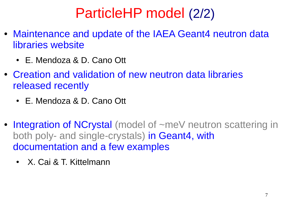## ParticleHP model (2/2)

- Maintenance and update of the IAEA Geant4 neutron data libraries website
	- E. Mendoza & D. Cano Ott
- Creation and validation of new neutron data libraries released recently
	- E. Mendoza & D. Cano Ott
- Integration of NCrystal (model of ~meV neutron scattering in both poly- and single-crystals) in Geant4, with documentation and a few examples
	- X. Cai & T. Kittelmann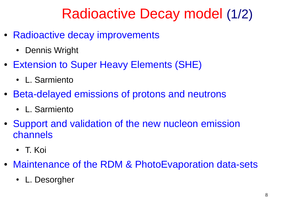#### Radioactive Decay model (1/2)

- Radioactive decay improvements
	- Dennis Wright
- Extension to Super Heavy Elements (SHE)
	- L. Sarmiento
- Beta-delayed emissions of protons and neutrons
	- L. Sarmiento
- Support and validation of the new nucleon emission channels
	- T. Koi
- Maintenance of the RDM & PhotoEvaporation data-sets
	- L. Desorgher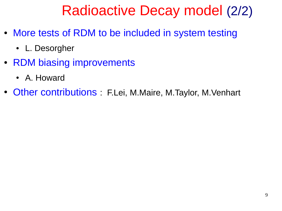## Radioactive Decay model (2/2)

- More tests of RDM to be included in system testing
	- L. Desorgher
- RDM biasing improvements
	- A. Howard
- Other contributions : F.Lei, M.Maire, M.Taylor, M.Venhart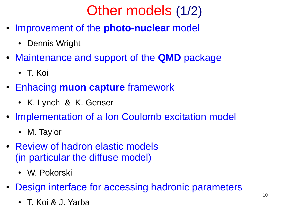## Other models (1/2)

- Improvement of the **photo-nuclear** model
	- Dennis Wright
- Maintenance and support of the **QMD** package
	- T. Koi
- Enhacing **muon capture** framework
	- K. Lynch & K. Genser
- Implementation of a Ion Coulomb excitation model
	- M. Taylor
- Review of hadron elastic models (in particular the diffuse model)
	- W. Pokorski
- Design interface for accessing hadronic parameters
	- T. Koi & J. Yarba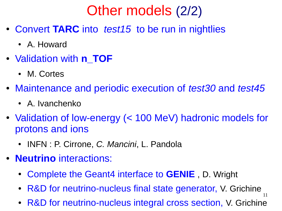## Other models (2/2)

- Convert **TARC** into *test15* to be run in nightlies
	- A. Howard
- Validation with **n** TOF
	- M. Cortes
- Maintenance and periodic execution of *test30* and *test45*
	- A. Ivanchenko
- Validation of low-energy (< 100 MeV) hadronic models for protons and ions
	- INFN : P. Cirrone, *C. Mancini*, L. Pandola
- **Neutrino** interactions:
	- Complete the Geant4 interface to **GENIE** , D. Wright
	- 11 • R&D for neutrino-nucleus final state generator, V. Grichine
	- R&D for neutrino-nucleus integral cross section, V. Grichine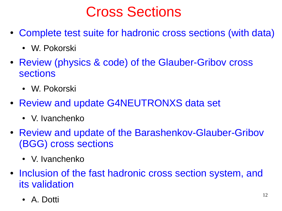#### Cross Sections

- Complete test suite for hadronic cross sections (with data)
	- W. Pokorski
- Review (physics & code) of the Glauber-Gribov cross sections
	- W. Pokorski
- Review and update G4NEUTRONXS data set
	- V. Ivanchenko
- Review and update of the Barashenkov-Glauber-Gribov (BGG) cross sections
	- V. Ivanchenko
- Inclusion of the fast hadronic cross section system, and its validation
	- A. Dotti